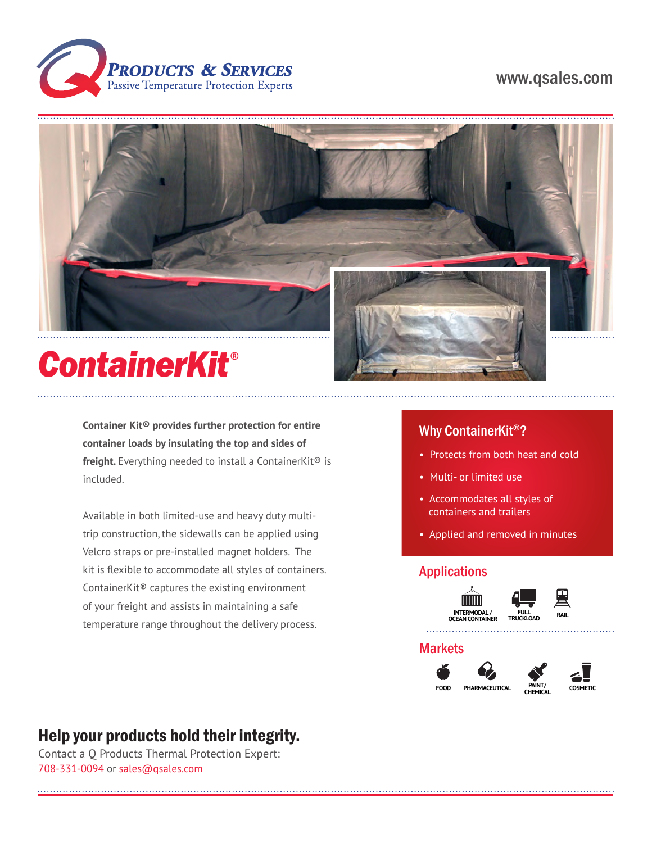

# www.qsales.com



# *ContainerKit*®

**Container Kit® provides further protection for entire container loads by insulating the top and sides of freight.** Everything needed to install a ContainerKit® is included.

Available in both limited-use and heavy duty multitrip construction, the sidewalls can be applied using Velcro straps or pre-installed magnet holders. The kit is flexible to accommodate all styles of containers. ContainerKit® captures the existing environment of your freight and assists in maintaining a safe temperature range throughout the delivery process.

## Why ContainerKit®?

- Protects from both heat and cold
- Multi- or limited use
- Accommodates all styles of containers and trailers
- Applied and removed in minutes

### Applications





### **Markets**







# Help your products hold their integrity.

Contact a Q Products Thermal Protection Expert: 708-331-0094 or sales@qsales.com